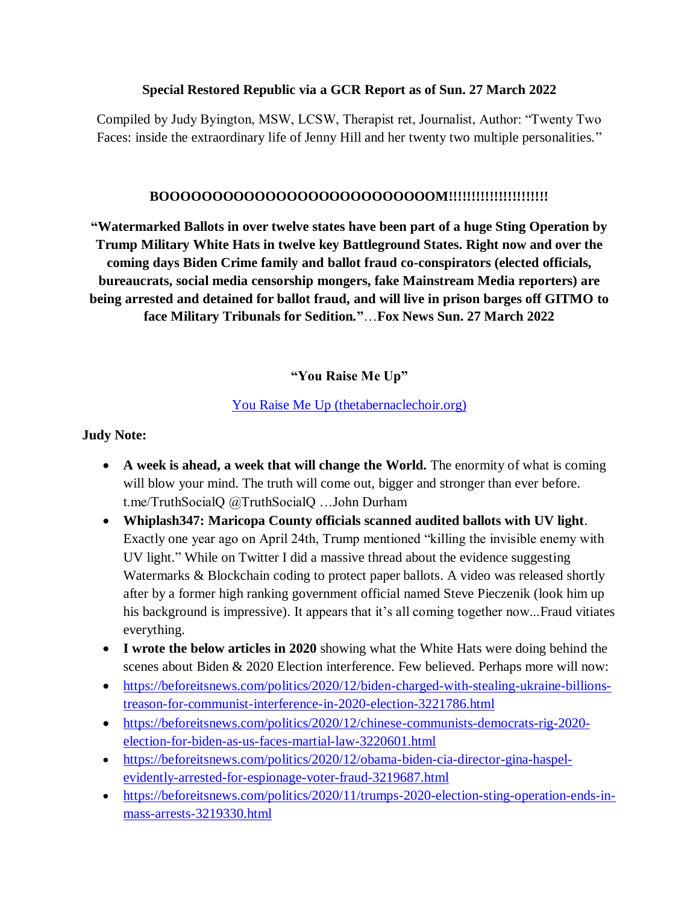#### **Special Restored Republic via a GCR Report as of Sun. 27 March 2022**

Compiled by Judy Byington, MSW, LCSW, Therapist ret, Journalist, Author: "Twenty Two Faces: inside the extraordinary life of Jenny Hill and her twenty two multiple personalities."

#### **BOOOOOOOOOOOOOOOOOOOOOOOOOOM!!!!!!!!!!!!!!!!!!!!!!**

**"Watermarked Ballots in over twelve states have been part of a huge Sting Operation by Trump Military White Hats in twelve key Battleground States. Right now and over the coming days Biden Crime family and ballot fraud co-conspirators (elected officials, bureaucrats, social media censorship mongers, fake Mainstream Media reporters) are being arrested and detained for ballot fraud, and will live in prison barges off GITMO to face Military Tribunals for Sedition***.***"**…**Fox News Sun. 27 March 2022**

**"You Raise Me Up"**

### [You Raise Me Up \(thetabernaclechoir.org\)](https://www.thetabernaclechoir.org/videos/you-raise-me-up-mormon-tabernacle-choir.html)

#### **Judy Note:**

- **A week is ahead, a week that will change the World.** The enormity of what is coming will blow your mind. The truth will come out, bigger and stronger than ever before. t.me/TruthSocialQ @TruthSocialQ …John Durham
- **Whiplash347: Maricopa County officials scanned audited ballots with UV light**. Exactly one year ago on April 24th, Trump mentioned "killing the invisible enemy with UV light." While on Twitter I did a massive thread about the evidence suggesting Watermarks & Blockchain coding to protect paper ballots. A video was released shortly after by a former high ranking government official named Steve Pieczenik (look him up his background is impressive). It appears that it's all coming together now...Fraud vitiates everything.
- **I wrote the below articles in 2020** showing what the White Hats were doing behind the scenes about Biden & 2020 Election interference. Few believed. Perhaps more will now:
- [https://beforeitsnews.com/politics/2020/12/biden-charged-with-stealing-ukraine-billions](https://beforeitsnews.com/politics/2020/12/biden-charged-with-stealing-ukraine-billions-treason-for-communist-interference-in-2020-election-3221786.html)[treason-for-communist-interference-in-2020-election-3221786.html](https://beforeitsnews.com/politics/2020/12/biden-charged-with-stealing-ukraine-billions-treason-for-communist-interference-in-2020-election-3221786.html)
- [https://beforeitsnews.com/politics/2020/12/chinese-communists-democrats-rig-2020](https://beforeitsnews.com/politics/2020/12/chinese-communists-democrats-rig-2020-election-for-biden-as-us-faces-martial-law-3220601.html) [election-for-biden-as-us-faces-martial-law-3220601.html](https://beforeitsnews.com/politics/2020/12/chinese-communists-democrats-rig-2020-election-for-biden-as-us-faces-martial-law-3220601.html)
- [https://beforeitsnews.com/politics/2020/12/obama-biden-cia-director-gina-haspel](https://beforeitsnews.com/politics/2020/12/obama-biden-cia-director-gina-haspel-evidently-arrested-for-espionage-voter-fraud-3219687.html)[evidently-arrested-for-espionage-voter-fraud-3219687.html](https://beforeitsnews.com/politics/2020/12/obama-biden-cia-director-gina-haspel-evidently-arrested-for-espionage-voter-fraud-3219687.html)
- [https://beforeitsnews.com/politics/2020/11/trumps-2020-election-sting-operation-ends-in](https://beforeitsnews.com/politics/2020/11/trumps-2020-election-sting-operation-ends-in-mass-arrests-3219330.html)[mass-arrests-3219330.html](https://beforeitsnews.com/politics/2020/11/trumps-2020-election-sting-operation-ends-in-mass-arrests-3219330.html)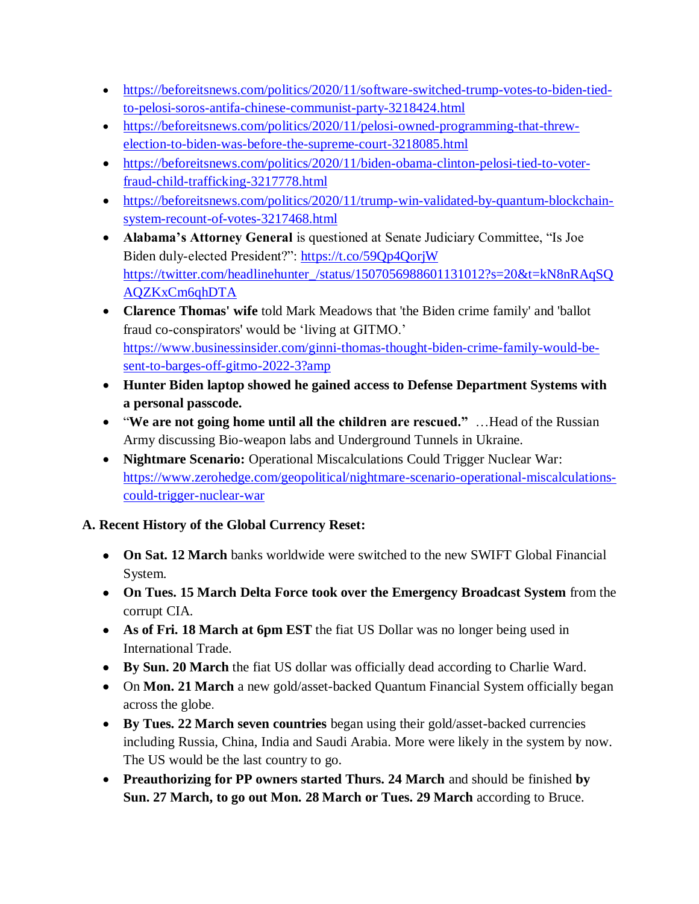- [https://beforeitsnews.com/politics/2020/11/software-switched-trump-votes-to-biden-tied](https://beforeitsnews.com/politics/2020/11/software-switched-trump-votes-to-biden-tied-to-pelosi-soros-antifa-chinese-communist-party-3218424.html)[to-pelosi-soros-antifa-chinese-communist-party-3218424.html](https://beforeitsnews.com/politics/2020/11/software-switched-trump-votes-to-biden-tied-to-pelosi-soros-antifa-chinese-communist-party-3218424.html)
- [https://beforeitsnews.com/politics/2020/11/pelosi-owned-programming-that-threw](https://beforeitsnews.com/politics/2020/11/pelosi-owned-programming-that-threw-election-to-biden-was-before-the-supreme-court-3218085.html)[election-to-biden-was-before-the-supreme-court-3218085.html](https://beforeitsnews.com/politics/2020/11/pelosi-owned-programming-that-threw-election-to-biden-was-before-the-supreme-court-3218085.html)
- [https://beforeitsnews.com/politics/2020/11/biden-obama-clinton-pelosi-tied-to-voter](https://beforeitsnews.com/politics/2020/11/biden-obama-clinton-pelosi-tied-to-voter-fraud-child-trafficking-3217778.html)[fraud-child-trafficking-3217778.html](https://beforeitsnews.com/politics/2020/11/biden-obama-clinton-pelosi-tied-to-voter-fraud-child-trafficking-3217778.html)
- [https://beforeitsnews.com/politics/2020/11/trump-win-validated-by-quantum-blockchain](https://beforeitsnews.com/politics/2020/11/trump-win-validated-by-quantum-blockchain-system-recount-of-votes-3217468.html)[system-recount-of-votes-3217468.html](https://beforeitsnews.com/politics/2020/11/trump-win-validated-by-quantum-blockchain-system-recount-of-votes-3217468.html)
- **Alabama's Attorney General** is questioned at Senate Judiciary Committee, "Is Joe Biden duly-elected President?":<https://t.co/59Qp4QorjW> [https://twitter.com/headlinehunter\\_/status/1507056988601131012?s=20&t=kN8nRAqSQ](https://twitter.com/headlinehunter_/status/1507056988601131012?s=20&t=kN8nRAqSQAQZKxCm6qhDTA) [AQZKxCm6qhDTA](https://twitter.com/headlinehunter_/status/1507056988601131012?s=20&t=kN8nRAqSQAQZKxCm6qhDTA)
- **Clarence Thomas' wife** told Mark Meadows that 'the Biden crime family' and 'ballot fraud co-conspirators' would be "living at GITMO." [https://www.businessinsider.com/ginni-thomas-thought-biden-crime-family-would-be](https://www.businessinsider.com/ginni-thomas-thought-biden-crime-family-would-be-sent-to-barges-off-gitmo-2022-3?amp)[sent-to-barges-off-gitmo-2022-3?amp](https://www.businessinsider.com/ginni-thomas-thought-biden-crime-family-would-be-sent-to-barges-off-gitmo-2022-3?amp)
- **Hunter Biden laptop showed he gained access to Defense Department Systems with a personal passcode.**
- "**We are not going home until all the children are rescued."** …Head of the Russian Army discussing Bio-weapon labs and Underground Tunnels in Ukraine.
- **Nightmare Scenario:** Operational Miscalculations Could Trigger Nuclear War: [https://www.zerohedge.com/geopolitical/nightmare-scenario-operational-miscalculations](https://www.zerohedge.com/geopolitical/nightmare-scenario-operational-miscalculations-could-trigger-nuclear-war)[could-trigger-nuclear-war](https://www.zerohedge.com/geopolitical/nightmare-scenario-operational-miscalculations-could-trigger-nuclear-war)

## **A. Recent History of the Global Currency Reset:**

- **On Sat. 12 March** banks worldwide were switched to the new SWIFT Global Financial System.
- **On Tues. 15 March Delta Force took over the Emergency Broadcast System** from the corrupt CIA.
- **As of Fri. 18 March at 6pm EST** the fiat US Dollar was no longer being used in International Trade.
- **By Sun. 20 March** the fiat US dollar was officially dead according to Charlie Ward.
- On **Mon. 21 March** a new gold/asset-backed Quantum Financial System officially began across the globe.
- **By Tues. 22 March seven countries** began using their gold/asset-backed currencies including Russia, China, India and Saudi Arabia. More were likely in the system by now. The US would be the last country to go.
- **Preauthorizing for PP owners started Thurs. 24 March** and should be finished **by Sun. 27 March, to go out Mon. 28 March or Tues. 29 March** according to Bruce.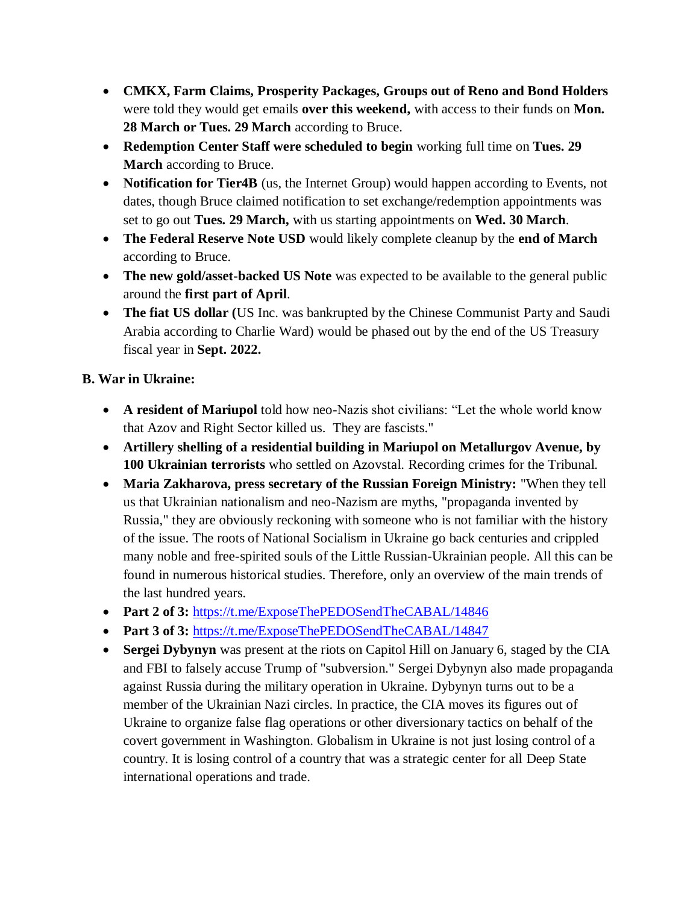- **CMKX, Farm Claims, Prosperity Packages, Groups out of Reno and Bond Holders** were told they would get emails **over this weekend,** with access to their funds on **Mon. 28 March or Tues. 29 March** according to Bruce.
- **Redemption Center Staff were scheduled to begin** working full time on **Tues. 29 March** according to Bruce.
- **Notification for Tier4B** (us, the Internet Group) would happen according to Events, not dates, though Bruce claimed notification to set exchange/redemption appointments was set to go out **Tues. 29 March,** with us starting appointments on **Wed. 30 March**.
- **The Federal Reserve Note USD** would likely complete cleanup by the **end of March** according to Bruce.
- **The new gold/asset-backed US Note** was expected to be available to the general public around the **first part of April**.
- **The fiat US dollar (**US Inc. was bankrupted by the Chinese Communist Party and Saudi Arabia according to Charlie Ward) would be phased out by the end of the US Treasury fiscal year in **Sept. 2022.**

## **B. War in Ukraine:**

- **A resident of Mariupol** told how neo-Nazis shot civilians: "Let the whole world know that Azov and Right Sector killed us. They are fascists."
- **Artillery shelling of a residential building in Mariupol on Metallurgov Avenue, by 100 Ukrainian terrorists** who settled on Azovstal. Recording crimes for the Tribunal.
- **Maria Zakharova, press secretary of the Russian Foreign Ministry:** "When they tell us that Ukrainian nationalism and neo-Nazism are myths, "propaganda invented by Russia," they are obviously reckoning with someone who is not familiar with the history of the issue. The roots of National Socialism in Ukraine go back centuries and crippled many noble and free-spirited souls of the Little Russian-Ukrainian people. All this can be found in numerous historical studies. Therefore, only an overview of the main trends of the last hundred years.
- Part 2 of 3: <https://t.me/ExposeThePEDOSendTheCABAL/14846>
- Part 3 of 3: <https://t.me/ExposeThePEDOSendTheCABAL/14847>
- **Sergei Dybynyn** was present at the riots on Capitol Hill on January 6, staged by the CIA and FBI to falsely accuse Trump of "subversion." Sergei Dybynyn also made propaganda against Russia during the military operation in Ukraine. Dybynyn turns out to be a member of the Ukrainian Nazi circles. In practice, the CIA moves its figures out of Ukraine to organize false flag operations or other diversionary tactics on behalf of the covert government in Washington. Globalism in Ukraine is not just losing control of a country. It is losing control of a country that was a strategic center for all Deep State international operations and trade.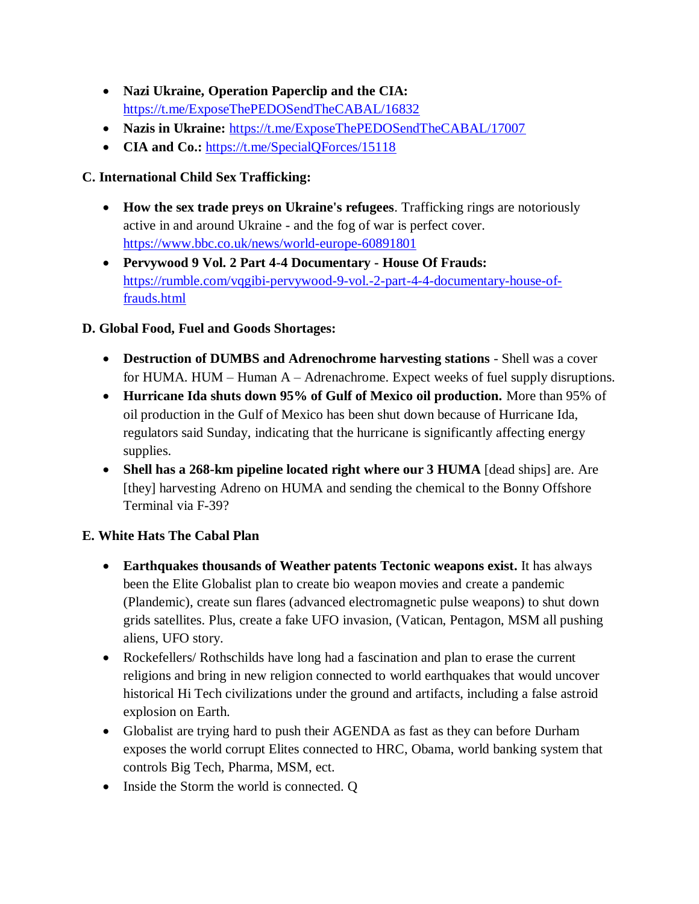- **Nazi Ukraine, Operation Paperclip and the CIA:** <https://t.me/ExposeThePEDOSendTheCABAL/16832>
- **Nazis in Ukraine:** <https://t.me/ExposeThePEDOSendTheCABAL/17007>
- **CIA and Co.:** https://t.me/SpecialOForces/15118

# **C. International Child Sex Trafficking:**

- **How the sex trade preys on Ukraine's refugees**. Trafficking rings are notoriously active in and around Ukraine - and the fog of war is perfect cover. <https://www.bbc.co.uk/news/world-europe-60891801>
- **Pervywood 9 Vol. 2 Part 4-4 Documentary - House Of Frauds:**  [https://rumble.com/vqgibi-pervywood-9-vol.-2-part-4-4-documentary-house-of](https://rumble.com/vqgibi-pervywood-9-vol.-2-part-4-4-documentary-house-of-frauds.html)[frauds.html](https://rumble.com/vqgibi-pervywood-9-vol.-2-part-4-4-documentary-house-of-frauds.html)

## **D. Global Food, Fuel and Goods Shortages:**

- **Destruction of DUMBS and Adrenochrome harvesting stations** Shell was a cover for HUMA. HUM – Human  $A - A$ drenachrome. Expect weeks of fuel supply disruptions.
- **Hurricane Ida shuts down 95% of Gulf of Mexico oil production.** More than 95% of oil production in the Gulf of Mexico has been shut down because of Hurricane Ida, regulators said Sunday, indicating that the hurricane is significantly affecting energy supplies.
- **Shell has a 268-km pipeline located right where our 3 HUMA** [dead ships] are. Are [they] harvesting Adreno on HUMA and sending the chemical to the Bonny Offshore Terminal via F-39?

## **E. White Hats The Cabal Plan**

- **Earthquakes thousands of Weather patents Tectonic weapons exist.** It has always been the Elite Globalist plan to create bio weapon movies and create a pandemic (Plandemic), create sun flares (advanced electromagnetic pulse weapons) to shut down grids satellites. Plus, create a fake UFO invasion, (Vatican, Pentagon, MSM all pushing aliens, UFO story.
- Rockefellers/ Rothschilds have long had a fascination and plan to erase the current religions and bring in new religion connected to world earthquakes that would uncover historical Hi Tech civilizations under the ground and artifacts, including a false astroid explosion on Earth.
- Globalist are trying hard to push their AGENDA as fast as they can before Durham exposes the world corrupt Elites connected to HRC, Obama, world banking system that controls Big Tech, Pharma, MSM, ect.
- Inside the Storm the world is connected. Q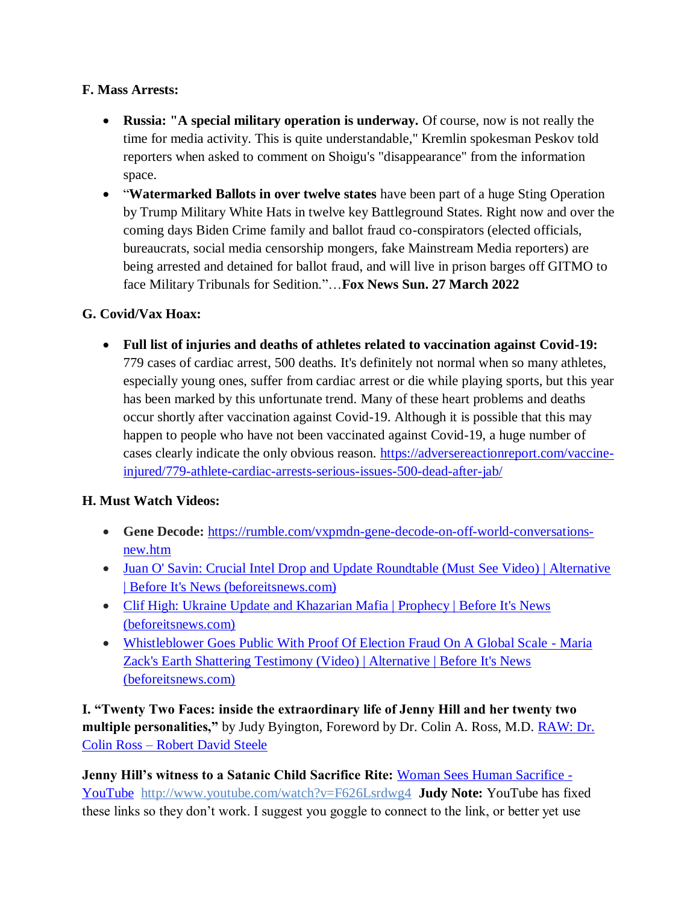### **F. Mass Arrests:**

- **Russia: "A special military operation is underway.** Of course, now is not really the time for media activity. This is quite understandable," Kremlin spokesman Peskov told reporters when asked to comment on Shoigu's "disappearance" from the information space.
- "**Watermarked Ballots in over twelve states** have been part of a huge Sting Operation by Trump Military White Hats in twelve key Battleground States. Right now and over the coming days Biden Crime family and ballot fraud co-conspirators (elected officials, bureaucrats, social media censorship mongers, fake Mainstream Media reporters) are being arrested and detained for ballot fraud, and will live in prison barges off GITMO to face Military Tribunals for Sedition*.*"…**Fox News Sun. 27 March 2022**

## **G. Covid/Vax Hoax:**

 **Full list of injuries and deaths of athletes related to vaccination against Covid-19:** 779 cases of cardiac arrest, 500 deaths. It's definitely not normal when so many athletes, especially young ones, suffer from cardiac arrest or die while playing sports, but this year has been marked by this unfortunate trend. Many of these heart problems and deaths occur shortly after vaccination against Covid-19. Although it is possible that this may happen to people who have not been vaccinated against Covid-19, a huge number of cases clearly indicate the only obvious reason. [https://adversereactionreport.com/vaccine](https://adversereactionreport.com/vaccine-injured/779-athlete-cardiac-arrests-serious-issues-500-dead-after-jab/)[injured/779-athlete-cardiac-arrests-serious-issues-500-dead-after-jab/](https://adversereactionreport.com/vaccine-injured/779-athlete-cardiac-arrests-serious-issues-500-dead-after-jab/)

## **H. Must Watch Videos:**

- Gene Decode: [https://rumble.com/vxpmdn-gene-decode-on-off-world-conversations](https://rumble.com/vxpmdn-gene-decode-on-off-world-conversations-new.html)[new.htm](https://rumble.com/vxpmdn-gene-decode-on-off-world-conversations-new.html)
- Juan O' Savin: Crucial Intel Drop and Update Roundtable (Must See Video) | Alternative [| Before It's News \(beforeitsnews.com\)](https://beforeitsnews.com/alternative/2022/03/juan-o-savin-crucial-intel-drop-and-update-roundtable-must-see-video-3770022.html)
- Clif High: Ukraine Update and Khazarian Mafia | Prophecy | Before It's News [\(beforeitsnews.com\)](https://beforeitsnews.com/prophecy/2022/03/clif-high-ukraine-update-and-khazarian-mafia-2529256.html)
- [Whistleblower Goes Public With Proof Of Election Fraud On A Global Scale -](https://beforeitsnews.com/alternative/2022/03/whistleblower-goes-public-with-proof-of-election-fraud-on-a-global-scale-maria-zacks-earth-shattering-testimony-video-3769736.html) Maria [Zack's Earth Shattering Testimony \(Video\) | Alternative | Before It's News](https://beforeitsnews.com/alternative/2022/03/whistleblower-goes-public-with-proof-of-election-fraud-on-a-global-scale-maria-zacks-earth-shattering-testimony-video-3769736.html)  [\(beforeitsnews.com\)](https://beforeitsnews.com/alternative/2022/03/whistleblower-goes-public-with-proof-of-election-fraud-on-a-global-scale-maria-zacks-earth-shattering-testimony-video-3769736.html)

**I. "Twenty Two Faces: inside the extraordinary life of Jenny Hill and her twenty two multiple personalities,"** by Judy Byington, Foreword by Dr. Colin A. Ross, M.D. **RAW: Dr.** Colin Ross – [Robert David Steele](https://robertdavidsteele.com/dr-colin-ross/)

**Jenny Hill's witness to a Satanic Child Sacrifice Rite:** [Woman Sees Human Sacrifice -](https://www.youtube.com/watch?v=F626Lsrdwg4) [YouTube http://www.youtube.com/watch?v=F626Lsrdwg4](https://www.youtube.com/watch?v=F626Lsrdwg4) **Judy Note:** YouTube has fixed these links so they don"t work. I suggest you goggle to connect to the link, or better yet use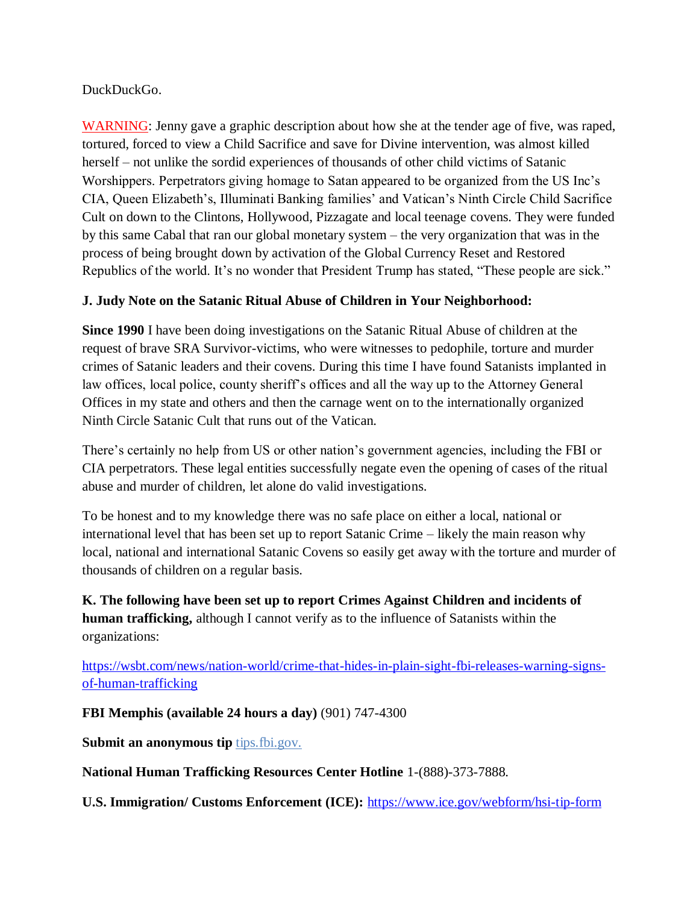#### DuckDuckGo.

WARNING: Jenny gave a graphic description about how she at the tender age of five, was raped, tortured, forced to view a Child Sacrifice and save for Divine intervention, was almost killed herself – not unlike the sordid experiences of thousands of other child victims of Satanic Worshippers. Perpetrators giving homage to Satan appeared to be organized from the US Inc"s CIA, Queen Elizabeth"s, Illuminati Banking families" and Vatican"s Ninth Circle Child Sacrifice Cult on down to the Clintons, Hollywood, Pizzagate and local teenage covens. They were funded by this same Cabal that ran our global monetary system – the very organization that was in the process of being brought down by activation of the Global Currency Reset and Restored Republics of the world. It's no wonder that President Trump has stated, "These people are sick."

#### **J. Judy Note on the Satanic Ritual Abuse of Children in Your Neighborhood:**

**Since 1990** I have been doing investigations on the Satanic Ritual Abuse of children at the request of brave SRA Survivor-victims, who were witnesses to pedophile, torture and murder crimes of Satanic leaders and their covens. During this time I have found Satanists implanted in law offices, local police, county sheriff's offices and all the way up to the Attorney General Offices in my state and others and then the carnage went on to the internationally organized Ninth Circle Satanic Cult that runs out of the Vatican.

There's certainly no help from US or other nation's government agencies, including the FBI or CIA perpetrators. These legal entities successfully negate even the opening of cases of the ritual abuse and murder of children, let alone do valid investigations.

To be honest and to my knowledge there was no safe place on either a local, national or international level that has been set up to report Satanic Crime – likely the main reason why local, national and international Satanic Covens so easily get away with the torture and murder of thousands of children on a regular basis.

**K. The following have been set up to report Crimes Against Children and incidents of human trafficking,** although I cannot verify as to the influence of Satanists within the organizations:

[https://wsbt.com/news/nation-world/crime-that-hides-in-plain-sight-fbi-releases-warning-signs](https://wsbt.com/news/nation-world/crime-that-hides-in-plain-sight-fbi-releases-warning-signs-of-human-trafficking?video=e56ba52a1b9d45ad8c8a033fd83fe480&jwsource=cl)[of-human-trafficking](https://wsbt.com/news/nation-world/crime-that-hides-in-plain-sight-fbi-releases-warning-signs-of-human-trafficking?video=e56ba52a1b9d45ad8c8a033fd83fe480&jwsource=cl)

**FBI Memphis (available 24 hours a day)** (901) 747-4300

**Submit an anonymous tip tips.fbi.gov.** 

**National Human Trafficking Resources Center Hotline** 1-(888)-373-7888.

**U.S. Immigration/ Customs Enforcement (ICE):** <https://www.ice.gov/webform/hsi-tip-form>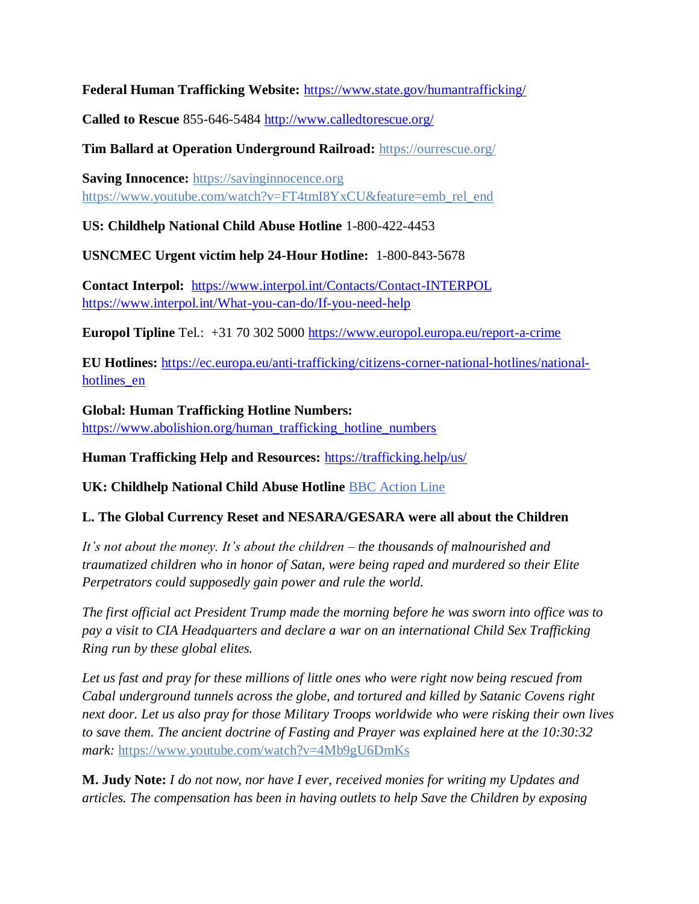**Federal Human Trafficking Website:** <https://www.state.gov/humantrafficking/>

**Called to Rescue** 855-646-5484<http://www.calledtorescue.org/>

**Tim Ballard at Operation Underground Railroad:** <https://ourrescue.org/>

**Saving Innocence:** [https://savinginnocence.org](https://savinginnocence.org/) [https://www.youtube.com/watch?v=FT4tmI8YxCU&feature=emb\\_rel\\_end](https://www.youtube.com/watch?v=FT4tmI8YxCU&feature=emb_rel_end)

**US: Childhelp National Child Abuse Hotline** 1-800-422-4453

**USNCMEC Urgent victim help 24-Hour Hotline:** 1-800-843-5678

**Contact Interpol:** <https://www.interpol.int/Contacts/Contact-INTERPOL> <https://www.interpol.int/What-you-can-do/If-you-need-help>

**Europol Tipline** Tel.: +31 70 302 5000<https://www.europol.europa.eu/report-a-crime>

**EU Hotlines:** [https://ec.europa.eu/anti-trafficking/citizens-corner-national-hotlines/national](https://ec.europa.eu/anti-trafficking/citizens-corner-national-hotlines/national-hotlines_en)[hotlines\\_en](https://ec.europa.eu/anti-trafficking/citizens-corner-national-hotlines/national-hotlines_en)

**Global: Human Trafficking Hotline Numbers:** [https://www.abolishion.org/human\\_trafficking\\_hotline\\_numbers](https://www.abolishion.org/human_trafficking_hotline_numbers)

**Human Trafficking Help and Resources:** <https://trafficking.help/us/>

**UK: Childhelp National Child Abuse Hotline** [BBC Action Line](https://www.bbc.co.uk/actionline)

#### **L. The Global Currency Reset and NESARA/GESARA were all about the Children**

*It's not about the money. It's about the children – the thousands of malnourished and traumatized children who in honor of Satan, were being raped and murdered so their Elite Perpetrators could supposedly gain power and rule the world.* 

*The first official act President Trump made the morning before he was sworn into office was to pay a visit to CIA Headquarters and declare a war on an international Child Sex Trafficking Ring run by these global elites.* 

*Let us fast and pray for these millions of little ones who were right now being rescued from Cabal underground tunnels across the globe, and tortured and killed by Satanic Covens right next door. Let us also pray for those Military Troops worldwide who were risking their own lives to save them. The ancient doctrine of Fasting and Prayer was explained here at the 10:30:32 mark:* <https://www.youtube.com/watch?v=4Mb9gU6DmKs>

**M. Judy Note:** *I do not now, nor have I ever, received monies for writing my Updates and articles. The compensation has been in having outlets to help Save the Children by exposing*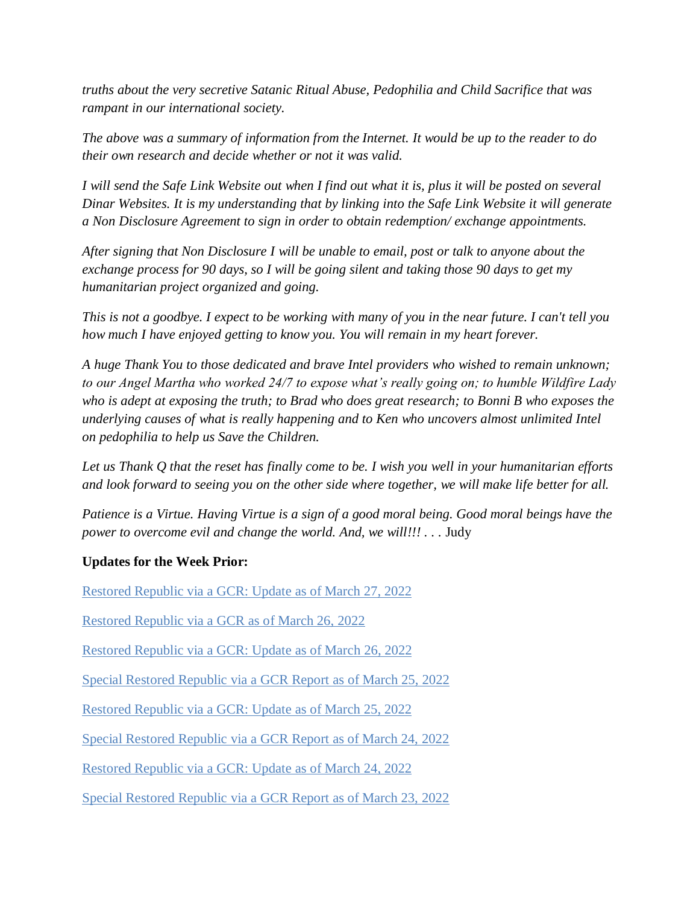*truths about the very secretive Satanic Ritual Abuse, Pedophilia and Child Sacrifice that was rampant in our international society.*

*The above was a summary of information from the Internet. It would be up to the reader to do their own research and decide whether or not it was valid.*

*I will send the Safe Link Website out when I find out what it is, plus it will be posted on several Dinar Websites. It is my understanding that by linking into the Safe Link Website it will generate a Non Disclosure Agreement to sign in order to obtain redemption/ exchange appointments.*

*After signing that Non Disclosure I will be unable to email, post or talk to anyone about the exchange process for 90 days, so I will be going silent and taking those 90 days to get my humanitarian project organized and going.*

*This is not a goodbye. I expect to be working with many of you in the near future. I can't tell you how much I have enjoyed getting to know you. You will remain in my heart forever.*

*A huge Thank You to those dedicated and brave Intel providers who wished to remain unknown; to our Angel Martha who worked 24/7 to expose what's really going on; to humble Wildfire Lady who is adept at exposing the truth; to Brad who does great research; to Bonni B who exposes the underlying causes of what is really happening and to Ken who uncovers almost unlimited Intel on pedophilia to help us Save the Children.*

*Let us Thank Q that the reset has finally come to be. I wish you well in your humanitarian efforts and look forward to seeing you on the other side where together, we will make life better for all.*

*Patience is a Virtue. Having Virtue is a sign of a good moral being. Good moral beings have the power to overcome evil and change the world. And, we will!!!* . . . Judy

#### **Updates for the Week Prior:**

[Restored Republic via a GCR: Update as of March 27, 2022](https://operationdisclosureofficial.com/2022/03/27/restored-republic-via-a-gcr-as-of-march-27-2022/)

[Restored Republic via a GCR as of March 26, 2022](https://operationdisclosureofficial.com/2022/03/26/restored-republic-via-a-gcr-as-of-march-26-2022/)

[Restored Republic via a GCR: Update as of March 26, 2022](https://operationdisclosureofficial.com/2022/03/26/restored-republic-via-a-gcr-as-of-march-26-2022/)

[Special Restored Republic via a GCR Report as](https://operationdisclosureofficial.com/2022/03/25/special-restored-republic-via-a-gcr-report-as-of-march-25-2022/) of March 25, 2022

[Restored Republic via a GCR: Update as of March 25, 2022](https://operationdisclosureofficial.com/2022/03/25/restored-republic-via-a-gcr-as-of-march-25-2022/)

[Special Restored Republic via a GCR Report as of March 24, 2022](https://operationdisclosureofficial.com/2022/03/24/special-restored-republic-via-a-gcr-report-as-of-march-24-2022/)

[Restored Republic via a GCR: Update as of March 24, 2022](https://operationdisclosureofficial.com/2022/03/24/restored-republic-via-a-gcr-as-of-march-24-2022/)

[Special Restored Republic via a GCR Report as of March 23, 2022](https://operationdisclosureofficial.com/2022/03/23/special-restored-republic-via-a-gcr-report-as-of-march-23-2022/)